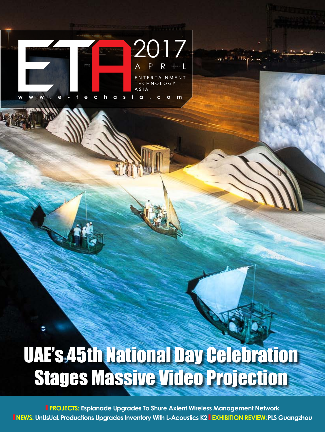

٥

## UAE's 45th National Day Celebration Stages Massive Video Projection

**PROJECTS: Esplanade Upgrades To Shure Axient Wireless Management Network NEWS: UnUsUaL Productions Upgrades Inventory With L-Acoustics K2 EXHIBITION REVIEW: PLS Guangzhou**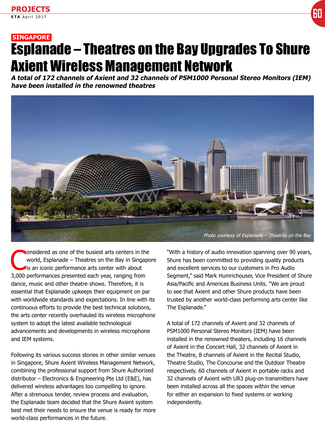## **SINGAPORE** Esplanade – Theatres on the Bay Upgrades To Shure Axient Wireless Management Network

**A total of 172 channels of Axient and 32 channels of PSM1000 Personal Stereo Monitors (IEM) have been installed in the renowned theatres**



Considered as one of the busiest arts centers in the world, Esplanade – Theatres on the Bay in Singapo<br>is an iconic performance arts center with about world, Esplanade – Theatres on the Bay in Singapore Is an iconic performance arts center with about 3,000 performances presented each year, ranging from dance, music and other theatre shows. Therefore, it is essential that Esplanade upkeeps their equipment on par with worldwide standards and expectations. In line with its continuous efforts to provide the best technical solutions, the arts center recently overhauled its wireless microphone system to adopt the latest available technological advancements and developments in wireless microphone and IEM systems.

Following its various success stories in other similar venues in Singapore, Shure Axient Wireless Management Network, combining the professional support from Shure Authorized distributor – Electronics & Engineering Pte Ltd (E&E), has delivered wireless advantages too compelling to ignore. After a strenuous tender, review process and evaluation, the Esplanade team decided that the Shure Axient system best met their needs to ensure the venue is ready for more world-class performances in the future.

"With a history of audio innovation spanning over 90 years, Shure has been committed to providing quality products and excellent services to our customers in Pro Audio Segment," said Mark Humrichouser, Vice President of Shure Asia/Pacific and Americas Business Units. "We are proud to see that Axient and other Shure products have been trusted by another world-class performing arts center like The Esplanade."

A total of 172 channels of Axient and 32 channels of PSM1000 Personal Stereo Monitors (IEM) have been installed in the renowned theaters, including 16 channels of Axient in the Concert Hall, 32 channels of Axient in the Theatre, 8 channels of Axient in the Recital Studio, Theatre Studio, The Concourse and the Outdoor Theatre respectively. 60 channels of Axient in portable racks and 32 channels of Axient with UR3 plug-on transmitters have been installed across all the spaces within the venue for either an expansion to fixed systems or working independently.